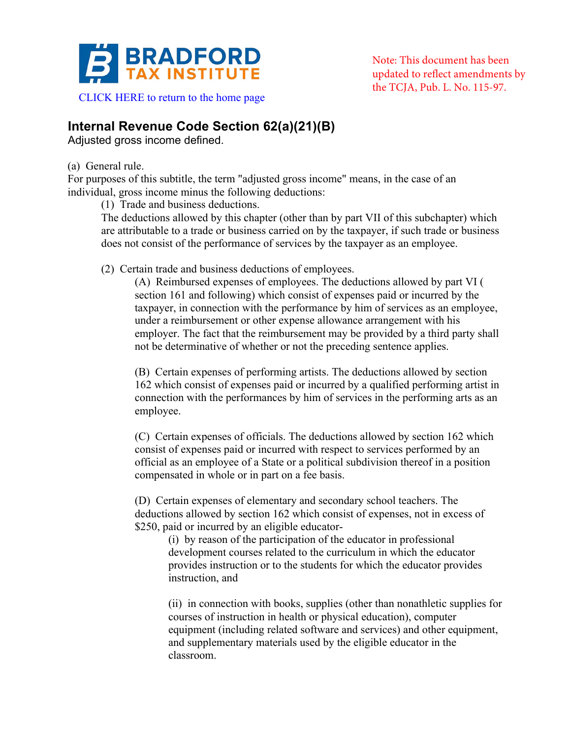

**Internal Revenue Code Section 62(a)(21)(B)** 

Adjusted gross income defined.

## (a) General rule.

For purposes of this subtitle, the term "adjusted gross income" means, in the case of an individual, gross income minus the following deductions:

(1) Trade and business deductions.

The deductions allowed by this chapter (other than by part VII of this subchapter) which are attributable to a trade or business carried on by the taxpayer, if such trade or business does not consist of the performance of services by the taxpayer as an employee.

(2) Certain trade and business deductions of employees.

(A) Reimbursed expenses of employees. The deductions allowed by part VI ( section 161 and following) which consist of expenses paid or incurred by the taxpayer, in connection with the performance by him of services as an employee, under a reimbursement or other expense allowance arrangement with his employer. The fact that the reimbursement may be provided by a third party shall not be determinative of whether or not the preceding sentence applies.

(B) Certain expenses of performing artists. The deductions allowed by section 162 which consist of expenses paid or incurred by a qualified performing artist in connection with the performances by him of services in the performing arts as an employee.

(C) Certain expenses of officials. The deductions allowed by section 162 which consist of expenses paid or incurred with respect to services performed by an official as an employee of a State or a political subdivision thereof in a position compensated in whole or in part on a fee basis.

(D) Certain expenses of elementary and secondary school teachers. The deductions allowed by section 162 which consist of expenses, not in excess of \$250, paid or incurred by an eligible educator-

(i) by reason of the participation of the educator in professional development courses related to the curriculum in which the educator provides instruction or to the students for which the educator provides instruction, and

(ii) in connection with books, supplies (other than nonathletic supplies for courses of instruction in health or physical education), computer equipment (including related software and services) and other equipment, and supplementary materials used by the eligible educator in the classroom.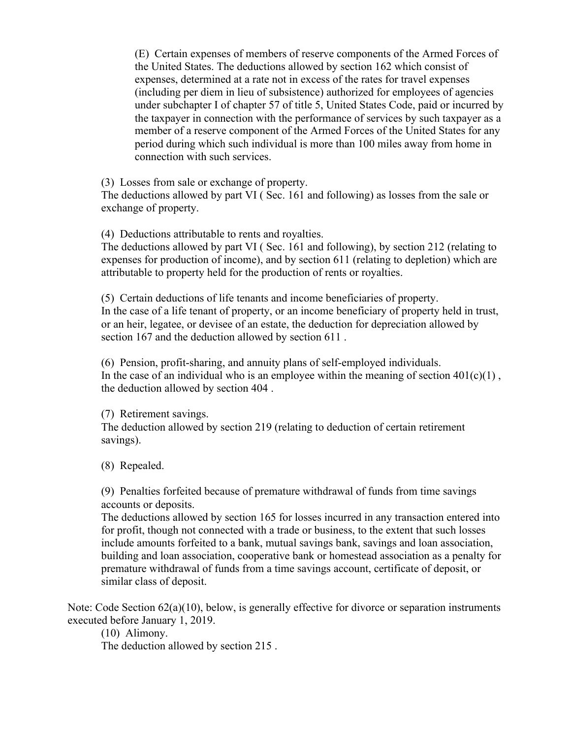(E) Certain expenses of members of reserve components of the Armed Forces of the United States. The deductions allowed by section 162 which consist of expenses, determined at a rate not in excess of the rates for travel expenses (including per diem in lieu of subsistence) authorized for employees of agencies under subchapter I of chapter 57 of title 5, United States Code, paid or incurred by the taxpayer in connection with the performance of services by such taxpayer as a member of a reserve component of the Armed Forces of the United States for any period during which such individual is more than 100 miles away from home in connection with such services.

(3) Losses from sale or exchange of property.

The deductions allowed by part VI ( Sec. 161 and following) as losses from the sale or exchange of property.

(4) Deductions attributable to rents and royalties.

The deductions allowed by part VI ( Sec. 161 and following), by section 212 (relating to expenses for production of income), and by section 611 (relating to depletion) which are attributable to property held for the production of rents or royalties.

(5) Certain deductions of life tenants and income beneficiaries of property. In the case of a life tenant of property, or an income beneficiary of property held in trust, or an heir, legatee, or devisee of an estate, the deduction for depreciation allowed by section 167 and the deduction allowed by section 611 .

(6) Pension, profit-sharing, and annuity plans of self-employed individuals. In the case of an individual who is an employee within the meaning of section  $401(c)(1)$ , the deduction allowed by section 404 .

(7) Retirement savings. The deduction allowed by section 219 (relating to deduction of certain retirement savings).

(8) Repealed.

(9) Penalties forfeited because of premature withdrawal of funds from time savings accounts or deposits.

The deductions allowed by section 165 for losses incurred in any transaction entered into for profit, though not connected with a trade or business, to the extent that such losses include amounts forfeited to a bank, mutual savings bank, savings and loan association, building and loan association, cooperative bank or homestead association as a penalty for premature withdrawal of funds from a time savings account, certificate of deposit, or similar class of deposit.

Note: Code Section 62(a)(10), below, is generally effective for divorce or separation instruments executed before January 1, 2019.

(10) Alimony. The deduction allowed by section 215 .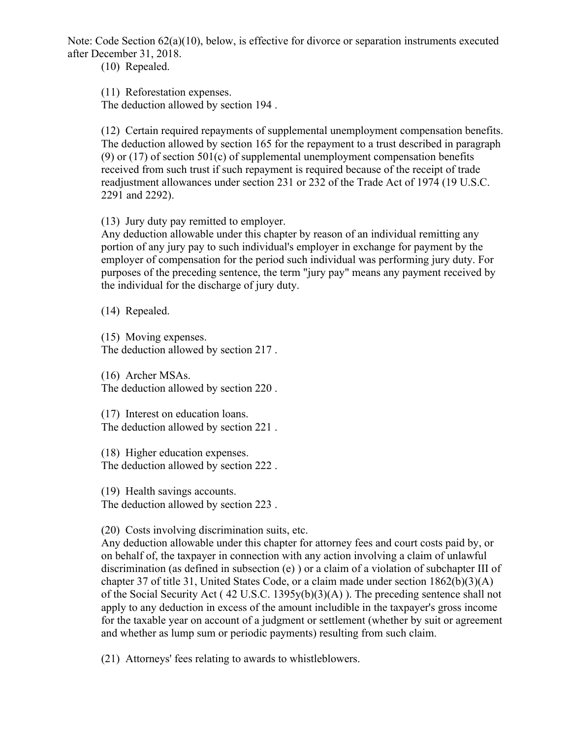Note: Code Section 62(a)(10), below, is effective for divorce or separation instruments executed after December 31, 2018.

(10) Repealed.

(11) Reforestation expenses.

The deduction allowed by section 194 .

(12) Certain required repayments of supplemental unemployment compensation benefits. The deduction allowed by section 165 for the repayment to a trust described in paragraph (9) or  $(17)$  of section 501(c) of supplemental unemployment compensation benefits received from such trust if such repayment is required because of the receipt of trade readjustment allowances under section 231 or 232 of the Trade Act of 1974 (19 U.S.C. 2291 and 2292).

(13) Jury duty pay remitted to employer.

Any deduction allowable under this chapter by reason of an individual remitting any portion of any jury pay to such individual's employer in exchange for payment by the employer of compensation for the period such individual was performing jury duty. For purposes of the preceding sentence, the term "jury pay" means any payment received by the individual for the discharge of jury duty.

(14) Repealed.

(15) Moving expenses. The deduction allowed by section 217 .

(16) Archer MSAs. The deduction allowed by section 220 .

(17) Interest on education loans. The deduction allowed by section 221 .

(18) Higher education expenses. The deduction allowed by section 222 .

(19) Health savings accounts. The deduction allowed by section 223 .

(20) Costs involving discrimination suits, etc.

Any deduction allowable under this chapter for attorney fees and court costs paid by, or on behalf of, the taxpayer in connection with any action involving a claim of unlawful discrimination (as defined in subsection (e) ) or a claim of a violation of subchapter III of chapter 37 of title 31, United States Code, or a claim made under section 1862(b)(3)(A) of the Social Security Act ( 42 U.S.C. 1395y(b)(3)(A) ). The preceding sentence shall not apply to any deduction in excess of the amount includible in the taxpayer's gross income for the taxable year on account of a judgment or settlement (whether by suit or agreement and whether as lump sum or periodic payments) resulting from such claim.

(21) Attorneys' fees relating to awards to whistleblowers.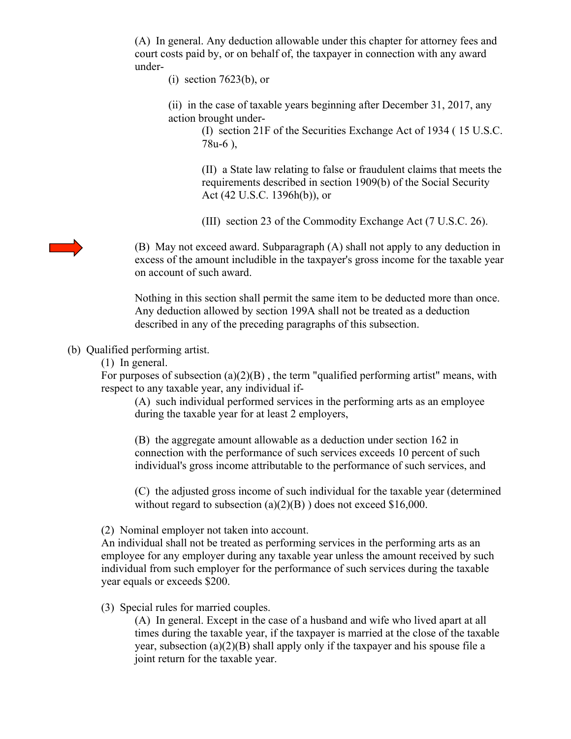(A) In general. Any deduction allowable under this chapter for attorney fees and court costs paid by, or on behalf of, the taxpayer in connection with any award under-

(i) section 7623(b), or

(ii) in the case of taxable years beginning after December 31, 2017, any action brought under-

> (I) section 21F of the Securities Exchange Act of 1934 ( 15 U.S.C. 78u-6 ),

> (II) a State law relating to false or fraudulent claims that meets the requirements described in section 1909(b) of the Social Security Act (42 U.S.C. 1396h(b)), or

(III) section 23 of the Commodity Exchange Act (7 U.S.C. 26).

(B) May not exceed award. Subparagraph (A) shall not apply to any deduction in excess of the amount includible in the taxpayer's gross income for the taxable year on account of such award.

Nothing in this section shall permit the same item to be deducted more than once. Any deduction allowed by section 199A shall not be treated as a deduction described in any of the preceding paragraphs of this subsection.

## (b) Qualified performing artist.

(1) In general.

For purposes of subsection  $(a)(2)(B)$ , the term "qualified performing artist" means, with respect to any taxable year, any individual if-

(A) such individual performed services in the performing arts as an employee during the taxable year for at least 2 employers,

(B) the aggregate amount allowable as a deduction under section 162 in connection with the performance of such services exceeds 10 percent of such individual's gross income attributable to the performance of such services, and

(C) the adjusted gross income of such individual for the taxable year (determined without regard to subsection (a)(2)(B)) does not exceed \$16,000.

(2) Nominal employer not taken into account.

An individual shall not be treated as performing services in the performing arts as an employee for any employer during any taxable year unless the amount received by such individual from such employer for the performance of such services during the taxable year equals or exceeds \$200.

## (3) Special rules for married couples.

(A) In general. Except in the case of a husband and wife who lived apart at all times during the taxable year, if the taxpayer is married at the close of the taxable year, subsection (a)(2)(B) shall apply only if the taxpayer and his spouse file a joint return for the taxable year.

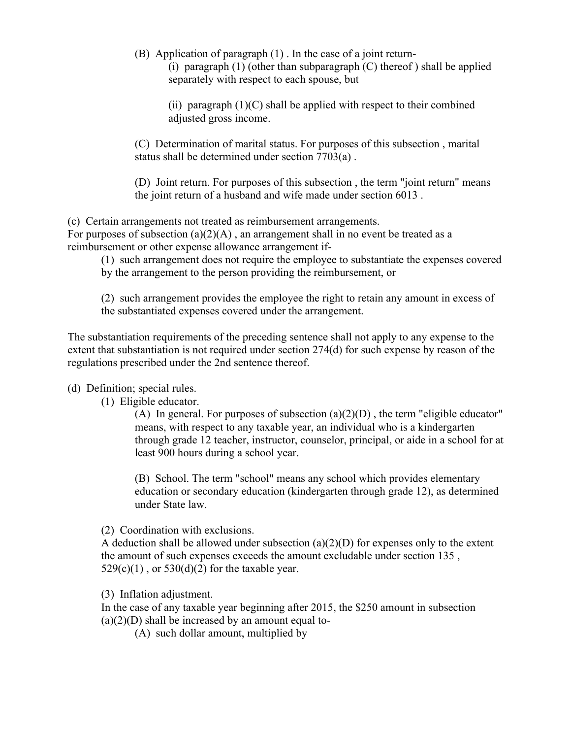(B) Application of paragraph (1) . In the case of a joint return-

(i) paragraph  $(1)$  (other than subparagraph  $(C)$  thereof) shall be applied separately with respect to each spouse, but

(ii) paragraph  $(1)(C)$  shall be applied with respect to their combined adjusted gross income.

(C) Determination of marital status. For purposes of this subsection , marital status shall be determined under section 7703(a) .

(D) Joint return. For purposes of this subsection , the term "joint return" means the joint return of a husband and wife made under section 6013 .

(c) Certain arrangements not treated as reimbursement arrangements. For purposes of subsection  $(a)(2)(A)$ , an arrangement shall in no event be treated as a reimbursement or other expense allowance arrangement if-

(1) such arrangement does not require the employee to substantiate the expenses covered by the arrangement to the person providing the reimbursement, or

(2) such arrangement provides the employee the right to retain any amount in excess of the substantiated expenses covered under the arrangement.

The substantiation requirements of the preceding sentence shall not apply to any expense to the extent that substantiation is not required under section 274(d) for such expense by reason of the regulations prescribed under the 2nd sentence thereof.

## (d) Definition; special rules.

(1) Eligible educator.

(A) In general. For purposes of subsection  $(a)(2)(D)$ , the term "eligible educator" means, with respect to any taxable year, an individual who is a kindergarten through grade 12 teacher, instructor, counselor, principal, or aide in a school for at least 900 hours during a school year.

(B) School. The term "school" means any school which provides elementary education or secondary education (kindergarten through grade 12), as determined under State law.

(2) Coordination with exclusions.

A deduction shall be allowed under subsection  $(a)(2)(D)$  for expenses only to the extent the amount of such expenses exceeds the amount excludable under section 135 ,  $529(c)(1)$ , or  $530(d)(2)$  for the taxable year.

(3) Inflation adjustment.

In the case of any taxable year beginning after 2015, the \$250 amount in subsection  $(a)(2)(D)$  shall be increased by an amount equal to-

(A) such dollar amount, multiplied by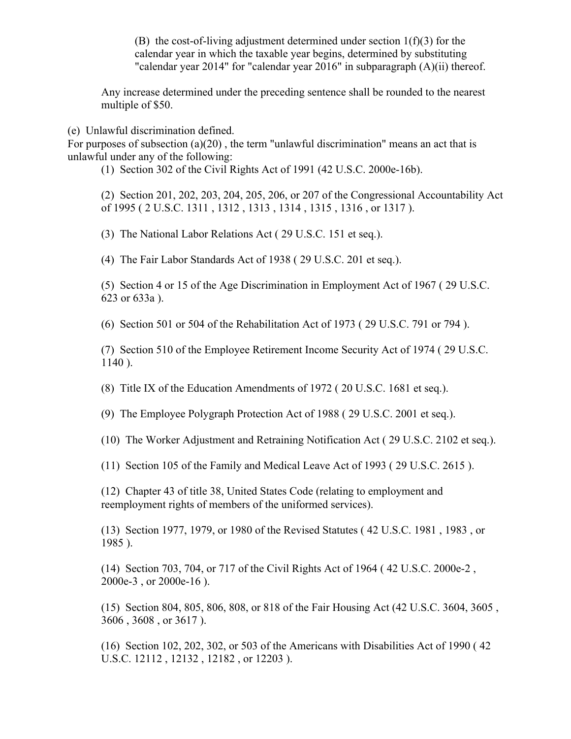(B) the cost-of-living adjustment determined under section  $1(f)(3)$  for the calendar year in which the taxable year begins, determined by substituting "calendar year 2014" for "calendar year 2016" in subparagraph (A)(ii) thereof.

Any increase determined under the preceding sentence shall be rounded to the nearest multiple of \$50.

(e) Unlawful discrimination defined.

For purposes of subsection (a)(20) , the term "unlawful discrimination" means an act that is unlawful under any of the following:

(1) Section 302 of the Civil Rights Act of 1991 (42 U.S.C. 2000e-16b).

(2) Section 201, 202, 203, 204, 205, 206, or 207 of the Congressional Accountability Act of 1995 ( 2 U.S.C. 1311 , 1312 , 1313 , 1314 , 1315 , 1316 , or 1317 ).

(3) The National Labor Relations Act ( 29 U.S.C. 151 et seq.).

(4) The Fair Labor Standards Act of 1938 ( 29 U.S.C. 201 et seq.).

(5) Section 4 or 15 of the Age Discrimination in Employment Act of 1967 ( 29 U.S.C. 623 or 633a ).

(6) Section 501 or 504 of the Rehabilitation Act of 1973 ( 29 U.S.C. 791 or 794 ).

(7) Section 510 of the Employee Retirement Income Security Act of 1974 ( 29 U.S.C. 1140 ).

(8) Title IX of the Education Amendments of 1972 ( 20 U.S.C. 1681 et seq.).

(9) The Employee Polygraph Protection Act of 1988 ( 29 U.S.C. 2001 et seq.).

(10) The Worker Adjustment and Retraining Notification Act ( 29 U.S.C. 2102 et seq.).

(11) Section 105 of the Family and Medical Leave Act of 1993 ( 29 U.S.C. 2615 ).

(12) Chapter 43 of title 38, United States Code (relating to employment and reemployment rights of members of the uniformed services).

(13) Section 1977, 1979, or 1980 of the Revised Statutes ( 42 U.S.C. 1981 , 1983 , or 1985 ).

(14) Section 703, 704, or 717 of the Civil Rights Act of 1964 ( 42 U.S.C. 2000e-2 , 2000e-3 , or 2000e-16 ).

(15) Section 804, 805, 806, 808, or 818 of the Fair Housing Act (42 U.S.C. 3604, 3605 , 3606 , 3608 , or 3617 ).

(16) Section 102, 202, 302, or 503 of the Americans with Disabilities Act of 1990 ( 42 U.S.C. 12112 , 12132 , 12182 , or 12203 ).